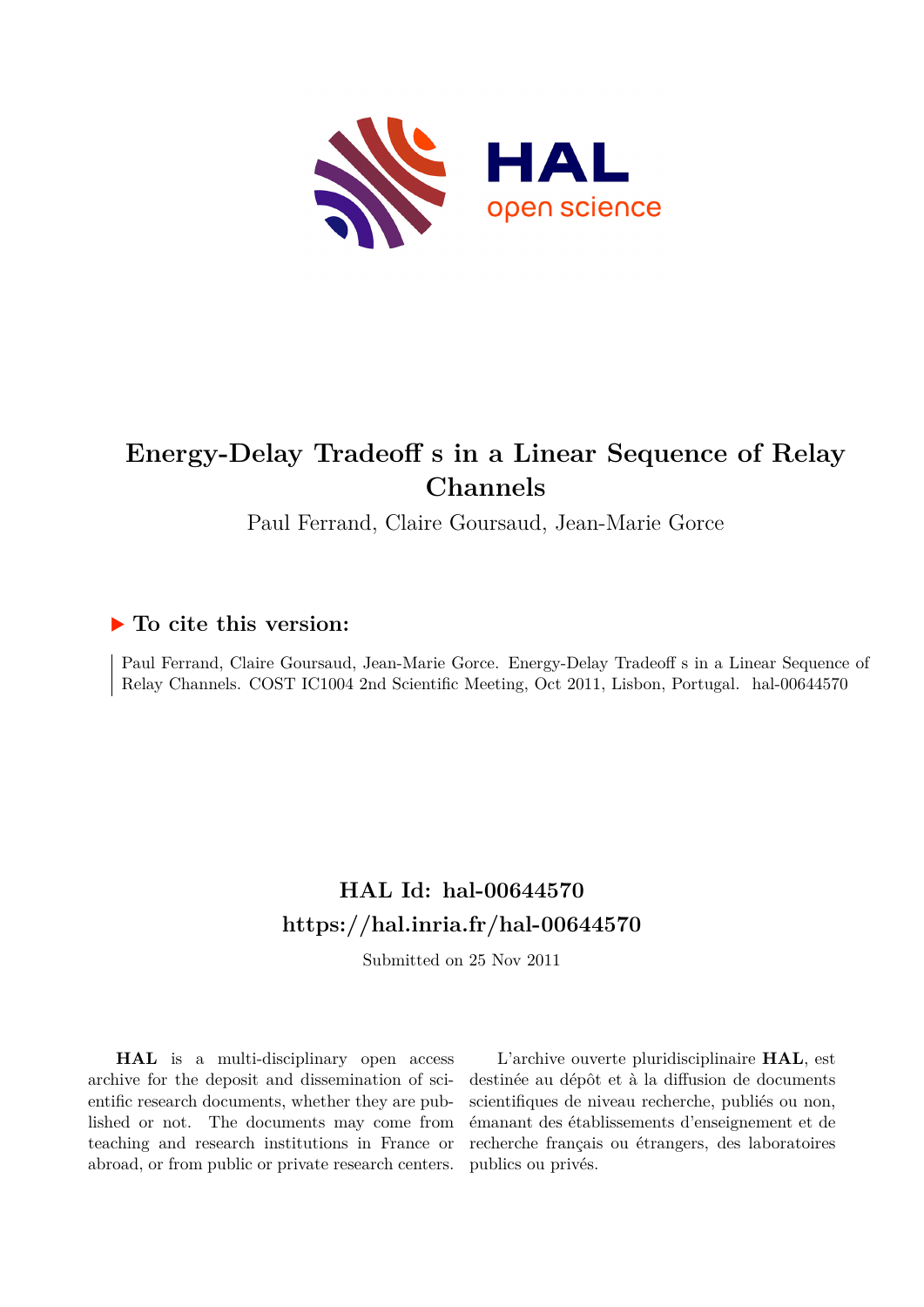

# **Energy-Delay Tradeoff s in a Linear Sequence of Relay Channels**

Paul Ferrand, Claire Goursaud, Jean-Marie Gorce

## **To cite this version:**

Paul Ferrand, Claire Goursaud, Jean-Marie Gorce. Energy-Delay Tradeoff s in a Linear Sequence of Relay Channels. COST IC1004 2nd Scientific Meeting, Oct 2011, Lisbon, Portugal. hal-00644570

# **HAL Id: hal-00644570 <https://hal.inria.fr/hal-00644570>**

Submitted on 25 Nov 2011

**HAL** is a multi-disciplinary open access archive for the deposit and dissemination of scientific research documents, whether they are published or not. The documents may come from teaching and research institutions in France or abroad, or from public or private research centers.

L'archive ouverte pluridisciplinaire **HAL**, est destinée au dépôt et à la diffusion de documents scientifiques de niveau recherche, publiés ou non, émanant des établissements d'enseignement et de recherche français ou étrangers, des laboratoires publics ou privés.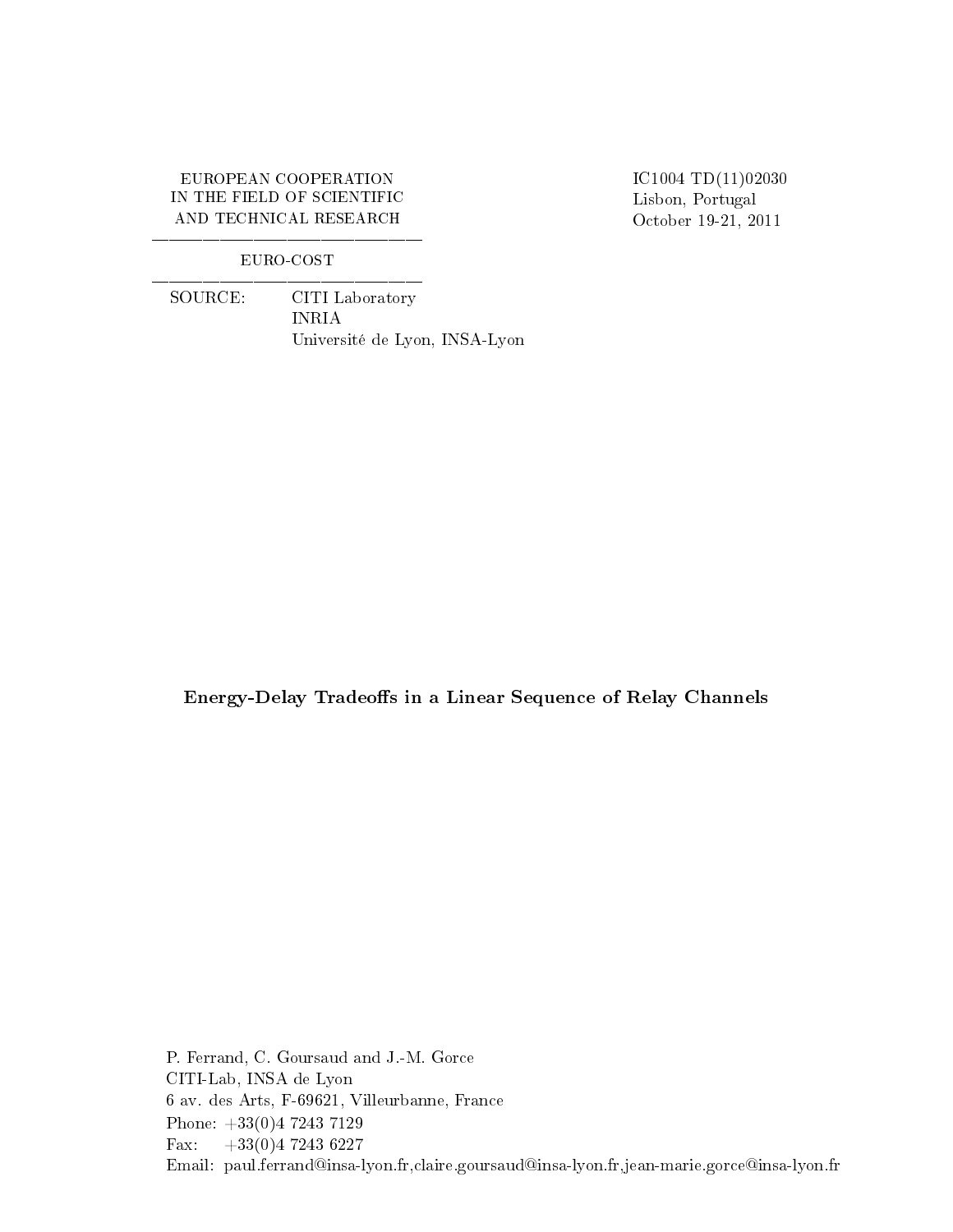### EUROPEAN COOPERATION IN THE FIELD OF SCIENTIFIC AND TECHNICAL RESEARCH

IC1004 TD(11)02030 Lisbon, Portugal October 19-21, 2011

### EURO-COST

 SOURCE: CITI Laboratory INRIA Université de Lyon, INSA-Lyon

Energy-Delay Tradeoffs in a Linear Sequence of Relay Channels

P. Ferrand, C. Goursaud and J.-M. Gorce CITI-Lab, INSA de Lyon 6 av. des Arts, F-69621, Villeurbanne, France Phone: +33(0)4 7243 7129 Fax:  $+33(0)472436227$ Email: paul.ferrand@insa-lyon.fr,claire.goursaud@insa-lyon.fr,jean-marie.gorce@insa-lyon.fr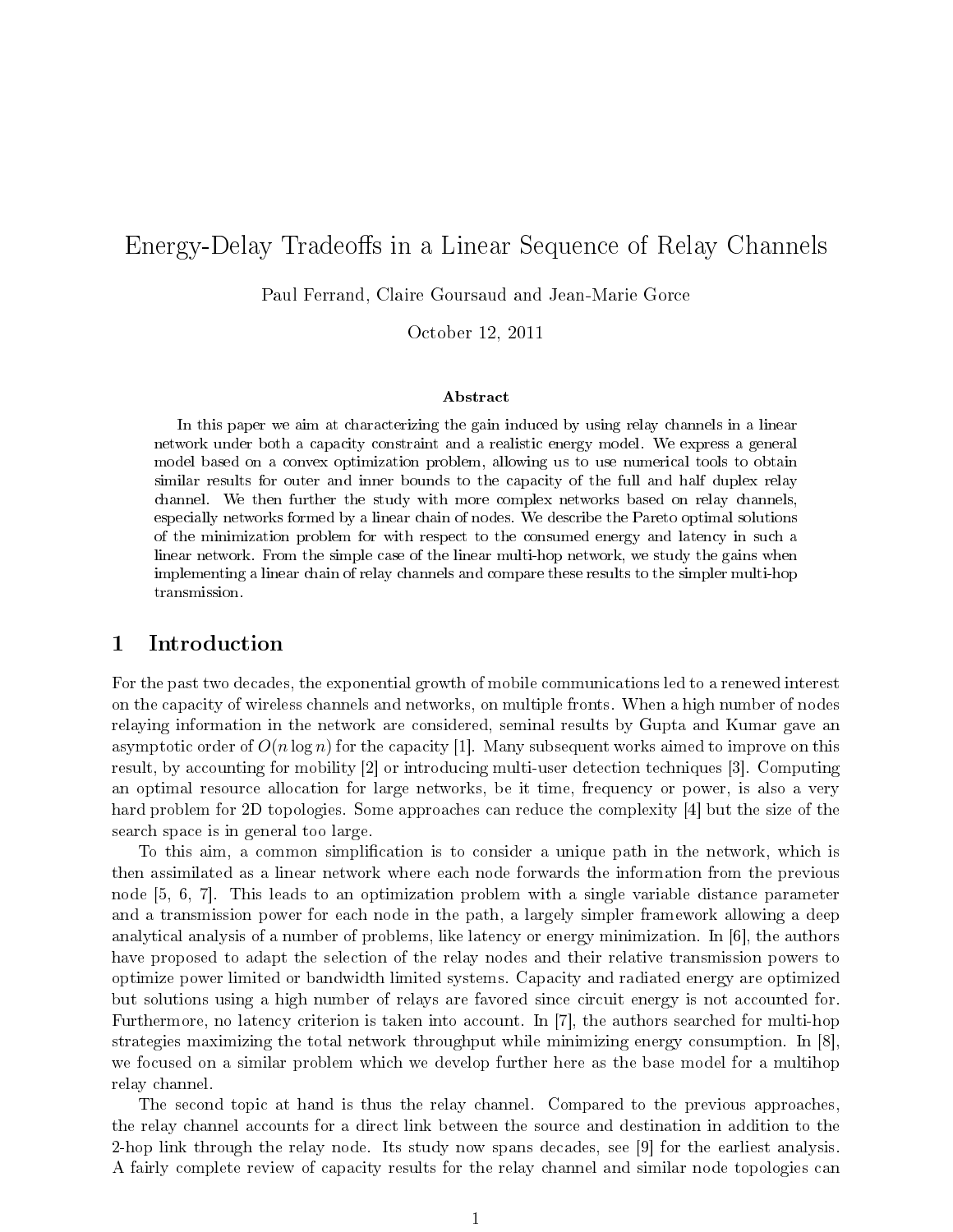## Energy-Delay Tradeoffs in a Linear Sequence of Relay Channels

Paul Ferrand, Claire Goursaud and Jean-Marie Gorce

October 12, 2011

#### Abstract

In this paper we aim at characterizing the gain induced by using relay channels in a linear network under both a capacity constraint and a realistic energy model. We express a general model based on a convex optimization problem, allowing us to use numerical tools to obtain similar results for outer and inner bounds to the capacity of the full and half duplex relay channel. We then further the study with more complex networks based on relay channels, especially networks formed by a linear chain of nodes. We describe the Pareto optimal solutions of the minimization problem for with respect to the consumed energy and latency in such a linear network. From the simple case of the linear multi-hop network, we study the gains when implementing a linear chain of relay channels and compare these results to the simpler multi-hop transmission.

## 1 Introduction

For the past two decades, the exponential growth of mobile communications led to a renewed interest on the capacity of wireless channels and networks, on multiple fronts. When a high number of nodes relaying information in the network are considered, seminal results by Gupta and Kumar gave an asymptotic order of  $O(n \log n)$  for the capacity [1]. Many subsequent works aimed to improve on this result, by accounting for mobility [2] or introducing multi-user detection techniques [3]. Computing an optimal resource allocation for large networks, be it time, frequency or power, is also a very hard problem for 2D topologies. Some approaches can reduce the complexity [4] but the size of the search space is in general too large.

To this aim, a common simplication is to consider a unique path in the network, which is then assimilated as a linear network where each node forwards the information from the previous node [5, 6, 7]. This leads to an optimization problem with a single variable distance parameter and a transmission power for each node in the path, a largely simpler framework allowing a deep analytical analysis of a number of problems, like latency or energy minimization. In [6], the authors have proposed to adapt the selection of the relay nodes and their relative transmission powers to optimize power limited or bandwidth limited systems. Capacity and radiated energy are optimized but solutions using a high number of relays are favored since circuit energy is not accounted for. Furthermore, no latency criterion is taken into account. In [7], the authors searched for multi-hop strategies maximizing the total network throughput while minimizing energy consumption. In [8], we focused on a similar problem which we develop further here as the base model for a multihop relay channel.

The second topic at hand is thus the relay channel. Compared to the previous approaches, the relay channel accounts for a direct link between the source and destination in addition to the 2-hop link through the relay node. Its study now spans decades, see [9] for the earliest analysis. A fairly complete review of capacity results for the relay channel and similar node topologies can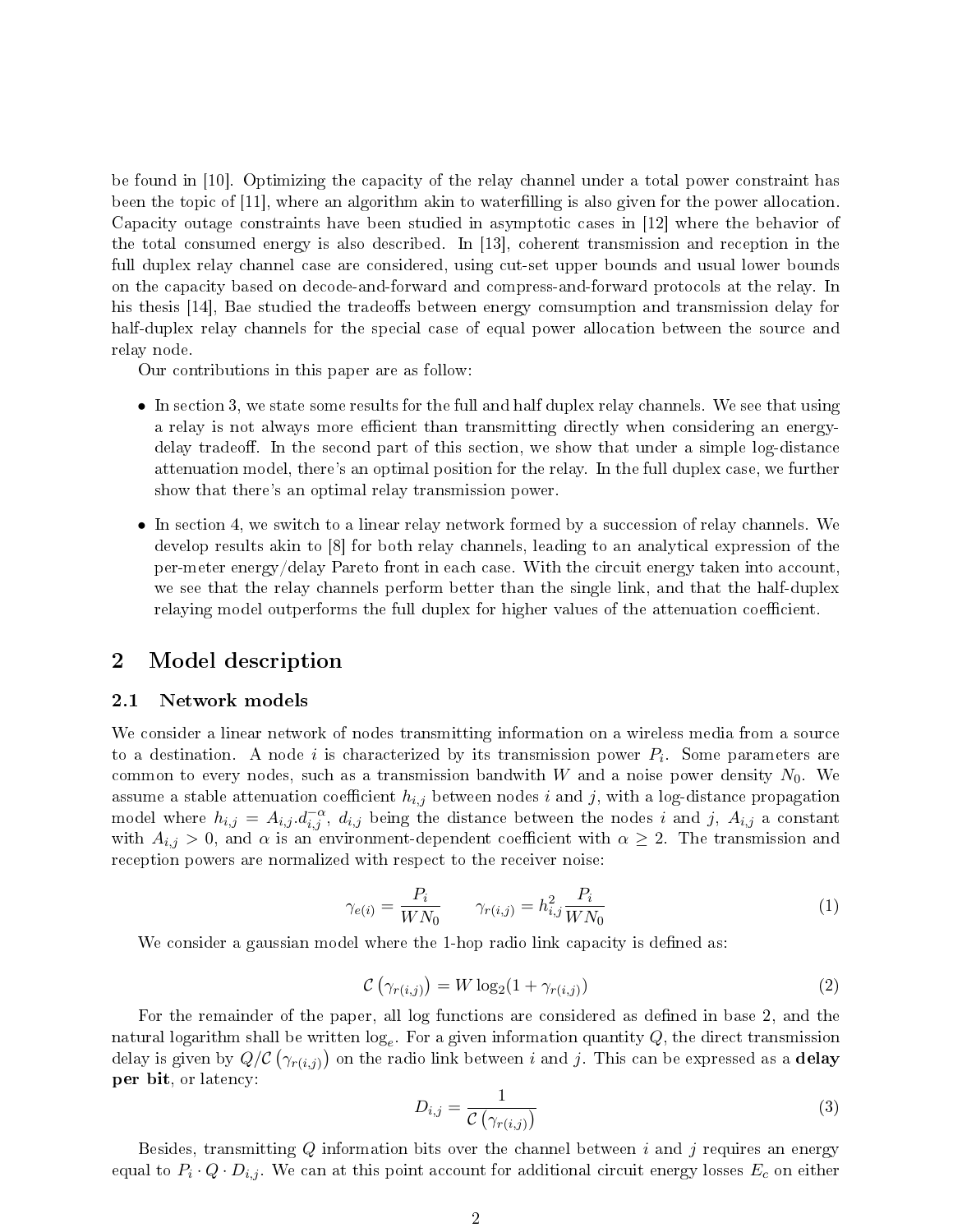be found in [10]. Optimizing the capacity of the relay channel under a total power constraint has been the topic of [11], where an algorithm akin to waterfilling is also given for the power allocation. Capacity outage constraints have been studied in asymptotic cases in [12] where the behavior of the total consumed energy is also described. In [13], coherent transmission and reception in the full duplex relay channel case are considered, using cut-set upper bounds and usual lower bounds on the capacity based on decode-and-forward and compress-and-forward protocols at the relay. In his thesis [14], Bae studied the tradeoffs between energy comsumption and transmission delay for half-duplex relay channels for the special case of equal power allocation between the source and relay node.

Our contributions in this paper are as follow:

- In section 3, we state some results for the full and half duplex relay channels. We see that using a relay is not always more efficient than transmitting directly when considering an energydelay tradeor. In the second part of this section, we show that under a simple log-distance attenuation model, there's an optimal position for the relay. In the full duplex case, we further show that there's an optimal relay transmission power.
- In section 4, we switch to a linear relay network formed by a succession of relay channels. We develop results akin to [8] for both relay channels, leading to an analytical expression of the per-meter energy/delay Pareto front in each case. With the circuit energy taken into account, we see that the relay channels perform better than the single link, and that the half-duplex relaying model outperforms the full duplex for higher values of the attenuation coefficient.

## 2 Model description

#### 2.1 Network models

We consider a linear network of nodes transmitting information on a wireless media from a source to a destination. A node i is characterized by its transmission power  $P_i$ . Some parameters are common to every nodes, such as a transmission bandwith W and a noise power density  $N_0$ . We assume a stable attenuation coefficient  $h_{i,j}$  between nodes i and j, with a log-distance propagation model where  $h_{i,j} = A_{i,j} d_{i,j}^{-\alpha}, d_{i,j}$  being the distance between the nodes i and j,  $A_{i,j}$  a constant with  $A_{i,j} > 0$ , and  $\alpha$  is an environment-dependent coefficient with  $\alpha \geq 2$ . The transmission and reception powers are normalized with respect to the receiver noise:

$$
\gamma_{e(i)} = \frac{P_i}{WN_0} \qquad \gamma_{r(i,j)} = h_{i,j}^2 \frac{P_i}{WN_0} \tag{1}
$$

We consider a gaussian model where the 1-hop radio link capacity is defined as:

$$
\mathcal{C}\left(\gamma_{r(i,j)}\right) = W \log_2(1 + \gamma_{r(i,j)})\tag{2}
$$

For the remainder of the paper, all log functions are considered as defined in base 2, and the natural logarithm shall be written  $\log_e$ . For a given information quantity  $Q$ , the direct transmission delay is given by  $Q/\mathcal{C}\left(\gamma_{r(i,j)}\right)$  on the radio link between  $i$  and  $j$ . This can be expressed as a  ${\bf delay}$ per bit, or latency:

$$
D_{i,j} = \frac{1}{\mathcal{C}\left(\gamma_{r(i,j)}\right)}\tag{3}
$$

Besides, transmitting  $Q$  information bits over the channel between i and j requires an energy equal to  $P_i\cdot Q\cdot D_{i,j}$ . We can at this point account for additional circuit energy losses  $E_c$  on either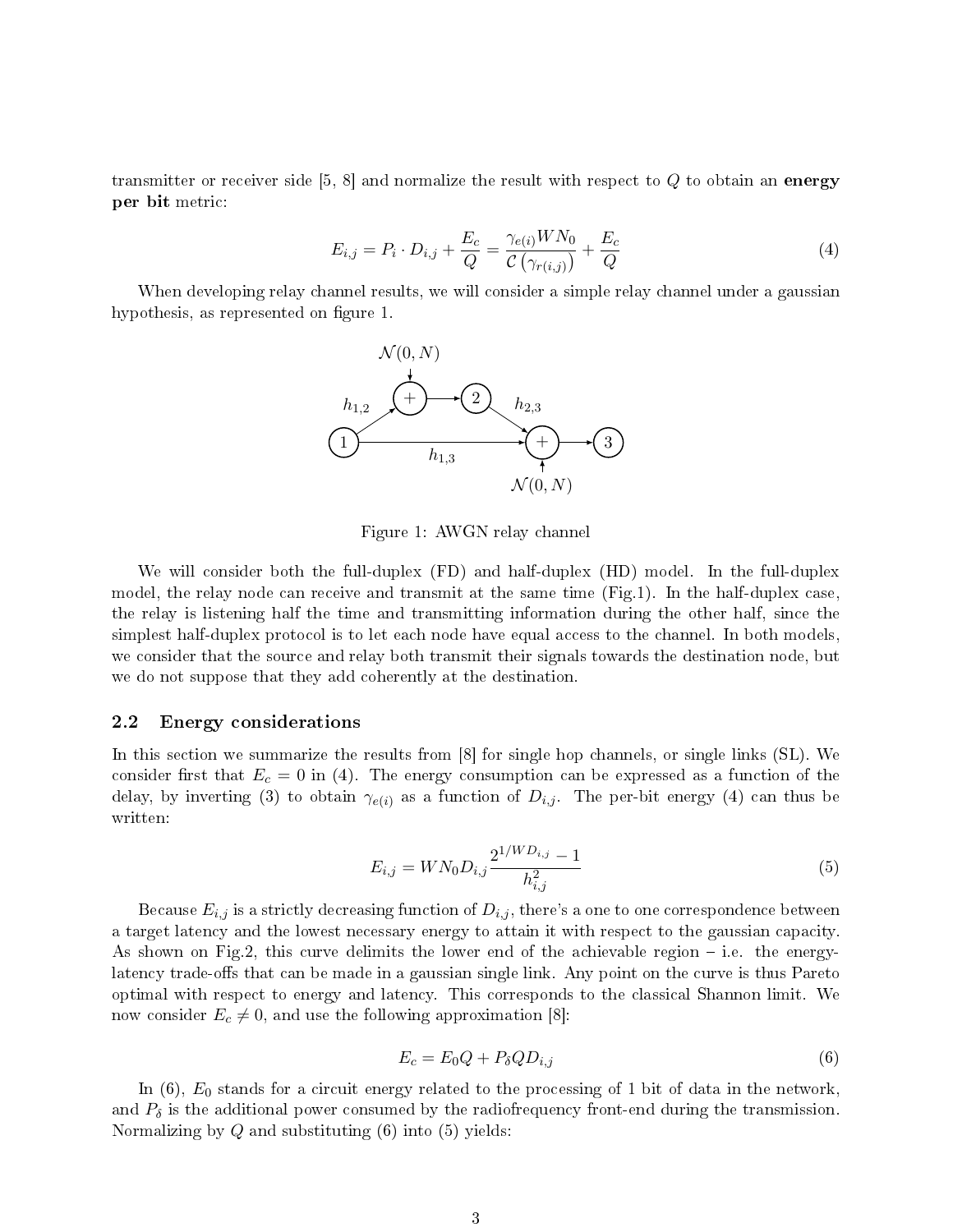transmitter or receiver side  $[5, 8]$  and normalize the result with respect to Q to obtain an energy per bit metric:

$$
E_{i,j} = P_i \cdot D_{i,j} + \frac{E_c}{Q} = \frac{\gamma_{e(i)} W N_0}{C (\gamma_{r(i,j)})} + \frac{E_c}{Q}
$$
 (4)

When developing relay channel results, we will consider a simple relay channel under a gaussian hypothesis, as represented on figure 1.



Figure 1: AWGN relay channel

We will consider both the full-duplex (FD) and half-duplex (HD) model. In the full-duplex model, the relay node can receive and transmit at the same time (Fig.1). In the half-duplex case, the relay is listening half the time and transmitting information during the other half, since the simplest half-duplex protocol is to let each node have equal access to the channel. In both models, we consider that the source and relay both transmit their signals towards the destination node, but we do not suppose that they add coherently at the destination.

#### 2.2 Energy considerations

In this section we summarize the results from [8] for single hop channels, or single links (SL). We consider first that  $E_c = 0$  in (4). The energy consumption can be expressed as a function of the delay, by inverting (3) to obtain  $\gamma_{e(i)}$  as a function of  $D_{i,j}$ . The per-bit energy (4) can thus be written:

$$
E_{i,j} = W N_0 D_{i,j} \frac{2^{1/W D_{i,j}} - 1}{h_{i,j}^2}
$$
\n
$$
(5)
$$

Because  $E_{i,j}$  is a strictly decreasing function of  $D_{i,j},$  there's a one to one correspondence between a target latency and the lowest necessary energy to attain it with respect to the gaussian capacity. As shown on Fig.2, this curve delimits the lower end of the achievable region  $-$  i.e. the energylatency trade-offs that can be made in a gaussian single link. Any point on the curve is thus Pareto optimal with respect to energy and latency. This corresponds to the classical Shannon limit. We now consider  $E_c \neq 0$ , and use the following approximation [8]:

$$
E_c = E_0 Q + P_\delta Q D_{i,j} \tag{6}
$$

In  $(6)$ ,  $E_0$  stands for a circuit energy related to the processing of 1 bit of data in the network, and  $P_{\delta}$  is the additional power consumed by the radiofrequency front-end during the transmission. Normalizing by  $Q$  and substituting  $(6)$  into  $(5)$  yields: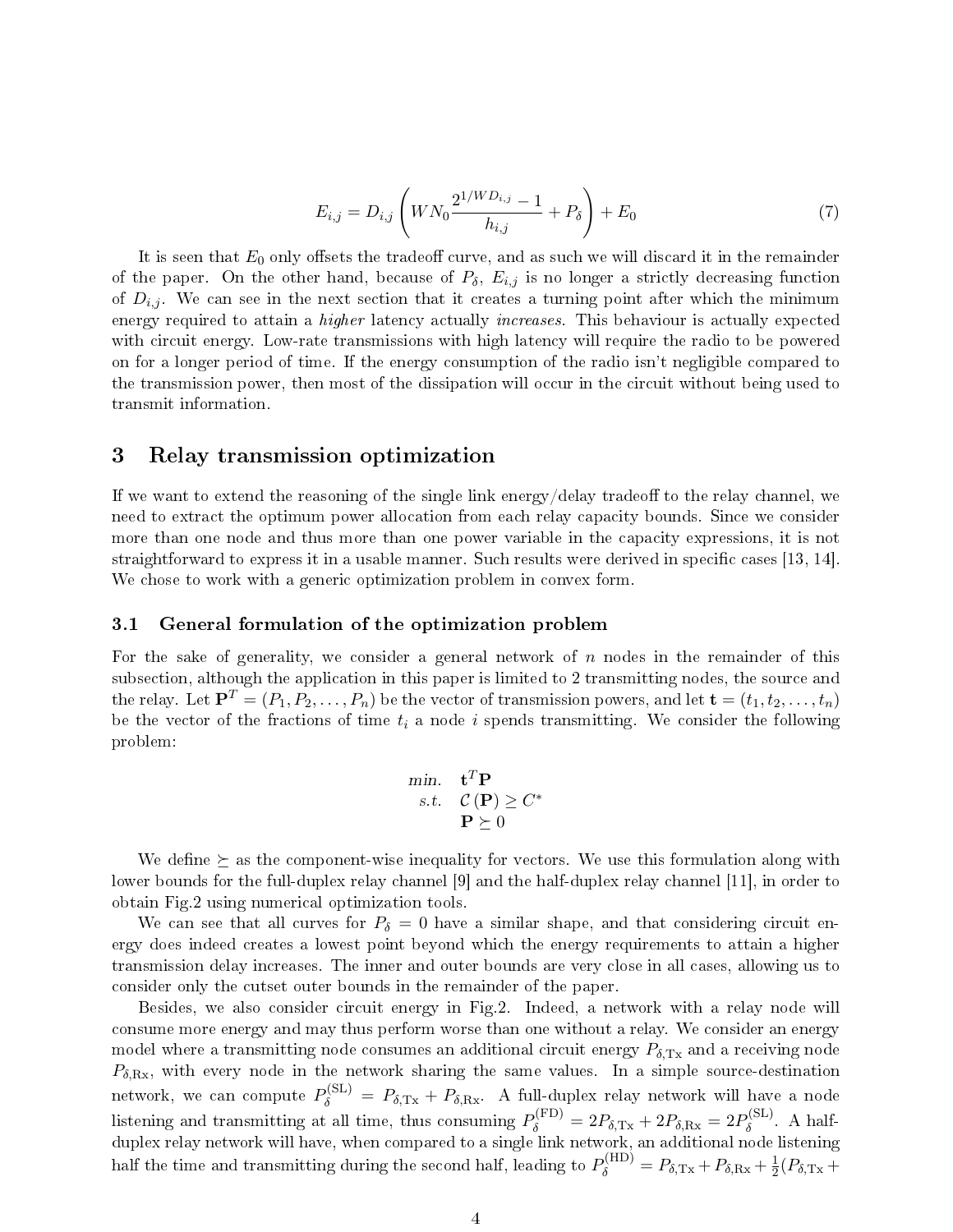$$
E_{i,j} = D_{i,j} \left( W N_0 \frac{2^{1/WD_{i,j}} - 1}{h_{i,j}} + P_\delta \right) + E_0 \tag{7}
$$

It is seen that  $E_0$  only offsets the tradeoff curve, and as such we will discard it in the remainder of the paper. On the other hand, because of  $P_{\delta}$ ,  $E_{i,j}$  is no longer a strictly decreasing function of  $D_{i,j}$ . We can see in the next section that it creates a turning point after which the minimum energy required to attain a *higher* latency actually *increases*. This behaviour is actually expected with circuit energy. Low-rate transmissions with high latency will require the radio to be powered on for a longer period of time. If the energy consumption of the radio isn't negligible compared to the transmission power, then most of the dissipation will occur in the circuit without being used to transmit information.

## 3 Relay transmission optimization

If we want to extend the reasoning of the single link energy/delay tradeoff to the relay channel, we need to extract the optimum power allocation from each relay capacity bounds. Since we consider more than one node and thus more than one power variable in the capacity expressions, it is not straightforward to express it in a usable manner. Such results were derived in specific cases  $[13, 14]$ . We chose to work with a generic optimization problem in convex form.

#### 3.1 General formulation of the optimization problem

For the sake of generality, we consider a general network of  $n$  nodes in the remainder of this subsection, although the application in this paper is limited to 2 transmitting nodes, the source and the relay. Let  $\mathbf{P}^T = (P_1, P_2, \ldots, P_n)$  be the vector of transmission powers, and let  $\mathbf{t} = (t_1, t_2, \ldots, t_n)$ be the vector of the fractions of time  $t_i$  a node i spends transmitting. We consider the following problem:

$$
\begin{array}{ll}\n\min. & \mathbf{t}^T \mathbf{P} \\
s.t. & \mathcal{C}(\mathbf{P}) \ge C^* \\
& \mathbf{P} \succeq 0\n\end{array}
$$

We define  $\succeq$  as the component-wise inequality for vectors. We use this formulation along with lower bounds for the full-duplex relay channel [9] and the half-duplex relay channel [11], in order to obtain Fig.2 using numerical optimization tools.

We can see that all curves for  $P_\delta = 0$  have a similar shape, and that considering circuit energy does indeed creates a lowest point beyond which the energy requirements to attain a higher transmission delay increases. The inner and outer bounds are very close in all cases, allowing us to consider only the cutset outer bounds in the remainder of the paper.

Besides, we also consider circuit energy in Fig.2. Indeed, a network with a relay node will consume more energy and may thus perform worse than one without a relay. We consider an energy model where a transmitting node consumes an additional circuit energy  $P_{\delta,\mathrm{Tx}}$  and a receiving node  $P_{\delta,\text{Rx}}$ , with every node in the network sharing the same values. In a simple source-destination network, we can compute  $P_{\delta}^{(\text{SL})} = P_{\delta,\text{Tx}} + P_{\delta,\text{Rx}}$ . A full-duplex relay network will have a node listening and transmitting at all time, thus consuming  $P_{\delta}^{(\text{FD})} = 2P_{\delta,\text{Tx}} + 2P_{\delta,\text{Rx}} = 2P_{\delta}^{(\text{SL})}$  $\delta^{\rm (SL)}$ . A halfduplex relay network will have, when compared to a single link network, an additional node listening half the time and transmitting during the second half, leading to  $P_{\delta}^{(\text{HD})} = P_{\delta,\text{Tx}} + P_{\delta,\text{Rx}} + \frac{1}{2}$  $\frac{1}{2}(P_{\delta,\mathrm{Tx}} +$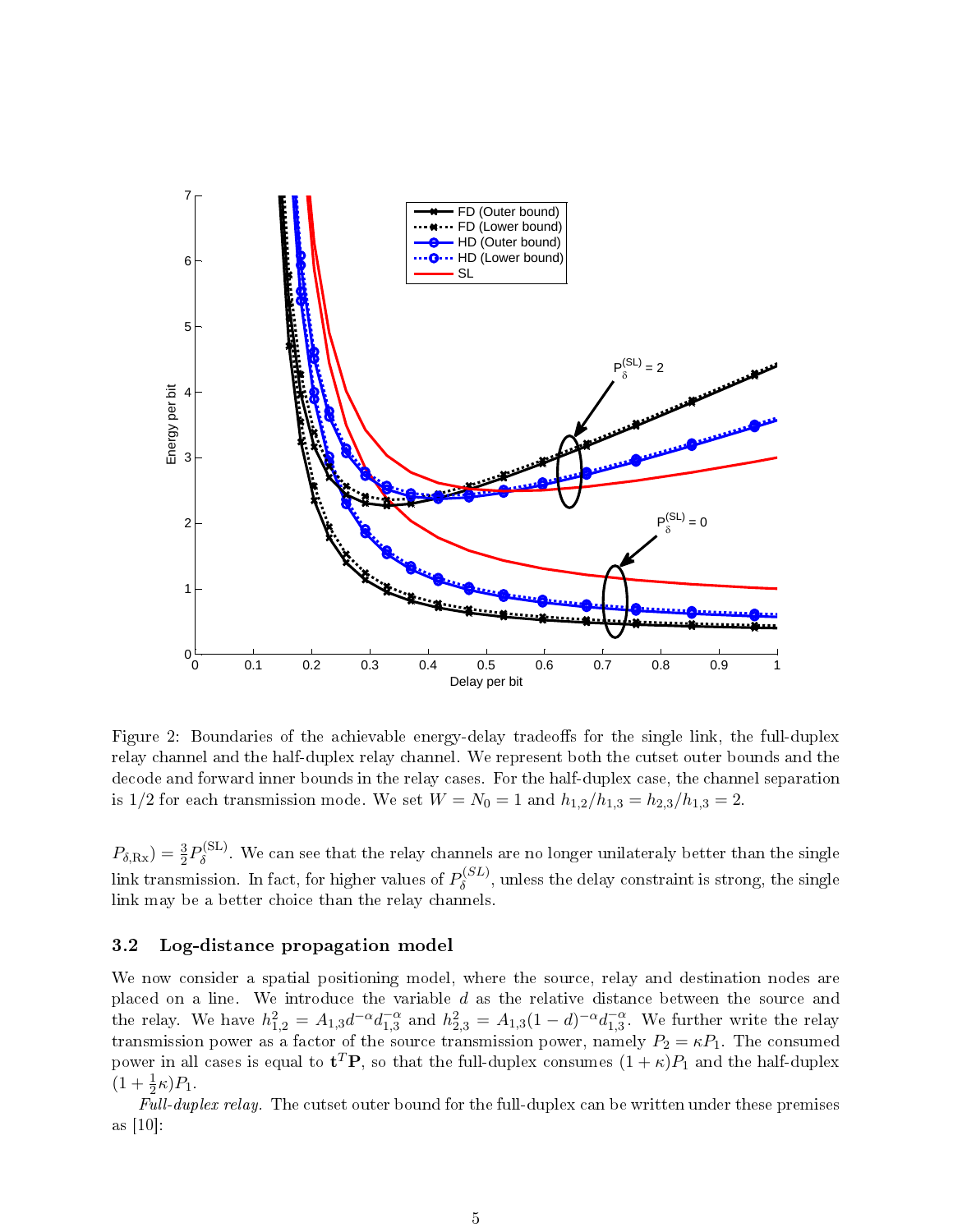

Figure 2: Boundaries of the achievable energy-delay tradeoffs for the single link, the full-duplex relay channel and the half-duplex relay channel. We represent both the cutset outer bounds and the decode and forward inner bounds in the relay cases. For the half-duplex case, the channel separation is 1/2 for each transmission mode. We set  $W = N_0 = 1$  and  $h_{1,2}/h_{1,3} = h_{2,3}/h_{1,3} = 2$ .

 $P_{\delta,\text{Rx}}$ ) =  $\frac{3}{2}P_{\delta}^{(\text{SL})}$  $\delta^{\text{(SL)}}$ . We can see that the relay channels are no longer unilateraly better than the single link transmission. In fact, for higher values of  $P_\delta^{(SL)}$  $\delta^{(SL)}$ , unless the delay constraint is strong, the single link may be a better choice than the relay channels.

#### 3.2 Log-distance propagation model

We now consider a spatial positioning model, where the source, relay and destination nodes are placed on a line. We introduce the variable  $d$  as the relative distance between the source and the relay. We have  $h_{1,2}^2 = A_{1,3}d^{-\alpha}d_{1,3}^{-\alpha}$  and  $h_{2,3}^2 = A_{1,3}(1-d)^{-\alpha}d_{1,3}^{-\alpha}$ . We further write the relay transmission power as a factor of the source transmission power, namely  $P_2 = \kappa P_1$ . The consumed power in all cases is equal to  ${\bf t}^T\bf P,$  so that the full-duplex consumes  $(1+\kappa)P_1$  and the half-duplex  $(1 + \frac{1}{2}\kappa)P_1$ .

Full-duplex relay. The cutset outer bound for the full-duplex can be written under these premises as [10]: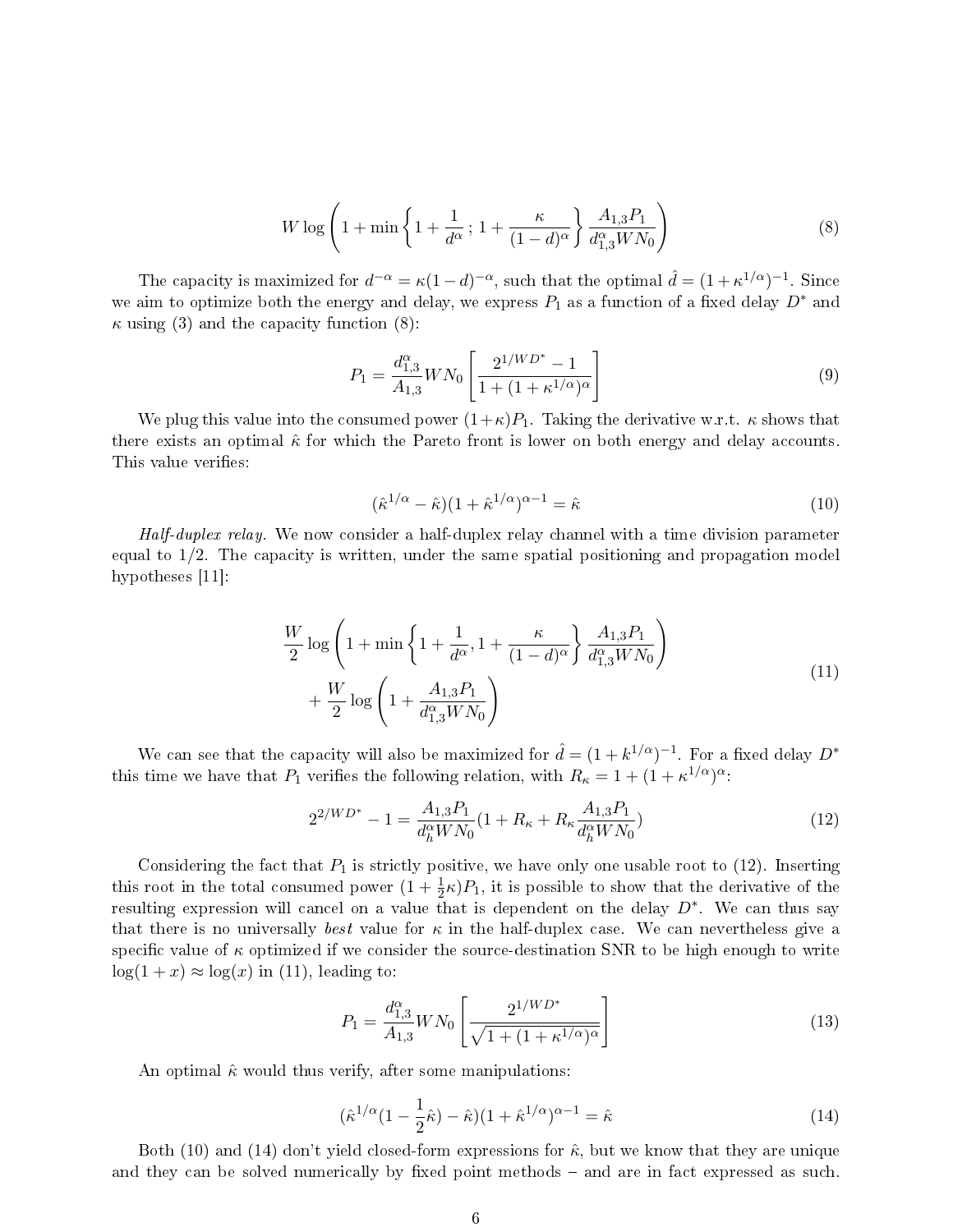$$
W \log \left( 1 + \min \left\{ 1 + \frac{1}{d^{\alpha}} \, ; \, 1 + \frac{\kappa}{(1-d)^{\alpha}} \right\} \frac{A_{1,3} P_1}{d_{1,3}^{\alpha} W N_0} \right) \tag{8}
$$

The capacity is maximized for  $d^{-\alpha} = \kappa (1-d)^{-\alpha}$ , such that the optimal  $\hat{d} = (1 + \kappa^{1/\alpha})^{-1}$ . Since we aim to optimize both the energy and delay, we express  $P_1$  as a function of a fixed delay  $D^*$  and  $\kappa$  using (3) and the capacity function (8):

$$
P_1 = \frac{d_{1,3}^{\alpha}}{A_{1,3}} W N_0 \left[ \frac{2^{1/WD^*} - 1}{1 + (1 + \kappa^{1/\alpha})^{\alpha}} \right]
$$
(9)

We plug this value into the consumed power  $(1+\kappa)P_1$ . Taking the derivative w.r.t.  $\kappa$  shows that there exists an optimal  $\hat{\kappa}$  for which the Pareto front is lower on both energy and delay accounts. This value verifies:

$$
(\hat{\kappa}^{1/\alpha} - \hat{\kappa})(1 + \hat{\kappa}^{1/\alpha})^{\alpha - 1} = \hat{\kappa}
$$
\n(10)

Half-duplex relay. We now consider a half-duplex relay channel with a time division parameter equal to 1/2. The capacity is written, under the same spatial positioning and propagation model hypotheses  $|11|$ :

$$
\frac{W}{2}\log\left(1+\min\left\{1+\frac{1}{d^{\alpha}},1+\frac{\kappa}{(1-d)^{\alpha}}\right\}\frac{A_{1,3}P_{1}}{d_{1,3}^{\alpha}WN_{0}}\right) + \frac{W}{2}\log\left(1+\frac{A_{1,3}P_{1}}{d_{1,3}^{\alpha}WN_{0}}\right)
$$
\n(11)

We can see that the capacity will also be maximized for  $\hat{d} = (1 + k^{1/\alpha})^{-1}$ . For a fixed delay  $D^*$ this time we have that  $P_1$  verifies the following relation, with  $R_{\kappa} = 1 + (1 + \kappa^{1/\alpha})^{\alpha}$ .

$$
2^{2/WD^{*}} - 1 = \frac{A_{1,3}P_1}{d_h^{\alpha}WN_0} (1 + R_{\kappa} + R_{\kappa} \frac{A_{1,3}P_1}{d_h^{\alpha}WN_0})
$$
(12)

Considering the fact that  $P_1$  is strictly positive, we have only one usable root to (12). Inserting this root in the total consumed power  $(1 + \frac{1}{2}\kappa)P_1$ , it is possible to show that the derivative of the resulting expression will cancel on a value that is dependent on the delay  $D^*$ . We can thus say that there is no universally best value for  $\kappa$  in the half-duplex case. We can nevertheless give a specific value of  $\kappa$  optimized if we consider the source-destination SNR to be high enough to write  $log(1 + x) \approx log(x)$  in (11), leading to:

$$
P_1 = \frac{d_{1,3}^{\alpha}}{A_{1,3}} W N_0 \left[ \frac{2^{1/WD^*}}{\sqrt{1 + (1 + \kappa^{1/\alpha})^{\alpha}}} \right]
$$
(13)

An optimal  $\hat{\kappa}$  would thus verify, after some manipulations:

$$
(\hat{\kappa}^{1/\alpha}(1 - \frac{1}{2}\hat{\kappa}) - \hat{\kappa})(1 + \hat{\kappa}^{1/\alpha})^{\alpha - 1} = \hat{\kappa}
$$
\n(14)

Both (10) and (14) don't yield closed-form expressions for  $\hat{\kappa}$ , but we know that they are unique and they can be solved numerically by fixed point methods – and are in fact expressed as such.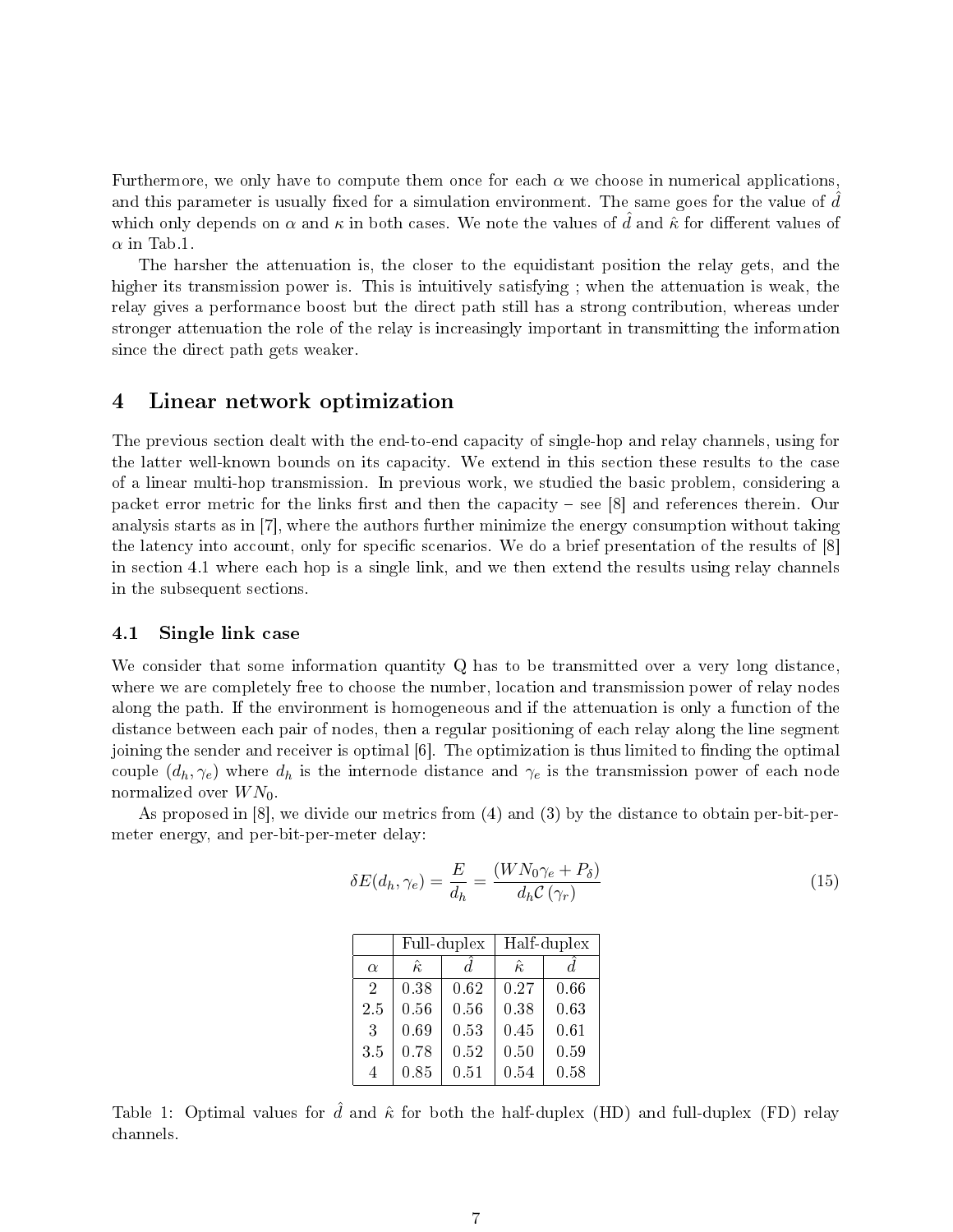Furthermore, we only have to compute them once for each  $\alpha$  we choose in numerical applications, and this parameter is usually fixed for a simulation environment. The same goes for the value of  $d$ which only depends on  $\alpha$  and  $\kappa$  in both cases. We note the values of d and  $\hat{\kappa}$  for different values of  $\alpha$  in Tab.1.

The harsher the attenuation is, the closer to the equidistant position the relay gets, and the higher its transmission power is. This is intuitively satisfying; when the attenuation is weak, the relay gives a performance boost but the direct path still has a strong contribution, whereas under stronger attenuation the role of the relay is increasingly important in transmitting the information since the direct path gets weaker.

## 4 Linear network optimization

The previous section dealt with the end-to-end capacity of single-hop and relay channels, using for the latter well-known bounds on its capacity. We extend in this section these results to the case of a linear multi-hop transmission. In previous work, we studied the basic problem, considering a packet error metric for the links first and then the capacity  $-$  see [8] and references therein. Our analysis starts as in [7], where the authors further minimize the energy consumption without taking the latency into account, only for specific scenarios. We do a brief presentation of the results of [8] in section 4.1 where each hop is a single link, and we then extend the results using relay channels in the subsequent sections.

#### 4.1 Single link case

We consider that some information quantity Q has to be transmitted over a very long distance. where we are completely free to choose the number, location and transmission power of relay nodes along the path. If the environment is homogeneous and if the attenuation is only a function of the distance between each pair of nodes, then a regular positioning of each relay along the line segment joining the sender and receiver is optimal  $[6]$ . The optimization is thus limited to finding the optimal couple  $(d_h, \gamma_e)$  where  $d_h$  is the internode distance and  $\gamma_e$  is the transmission power of each node normalized over  $WN_0$ .

As proposed in [8], we divide our metrics from (4) and (3) by the distance to obtain per-bit-permeter energy, and per-bit-per-meter delay:

$$
\delta E(d_h, \gamma_e) = \frac{E}{d_h} = \frac{(W N_0 \gamma_e + P_\delta)}{d_h C(\gamma_r)}\tag{15}
$$

|                | Full-duplex    |      | Half-duplex    |      |  |
|----------------|----------------|------|----------------|------|--|
| $\alpha$       | $\hat{\kappa}$ | d.   | $\hat{\kappa}$ | d.   |  |
| $\overline{2}$ | 0.38           | 0.62 | 0.27           | 0.66 |  |
| 2.5            | 0.56           | 0.56 | 0.38           | 0.63 |  |
| 3              | 0.69           | 0.53 | 0.45           | 0.61 |  |
| 3.5            | 0.78           | 0.52 | 0.50           | 0.59 |  |
| 4              | 0.85           | 0.51 | 0.54           | 0.58 |  |

Table 1: Optimal values for  $\hat{d}$  and  $\hat{\kappa}$  for both the half-duplex (HD) and full-duplex (FD) relay channels.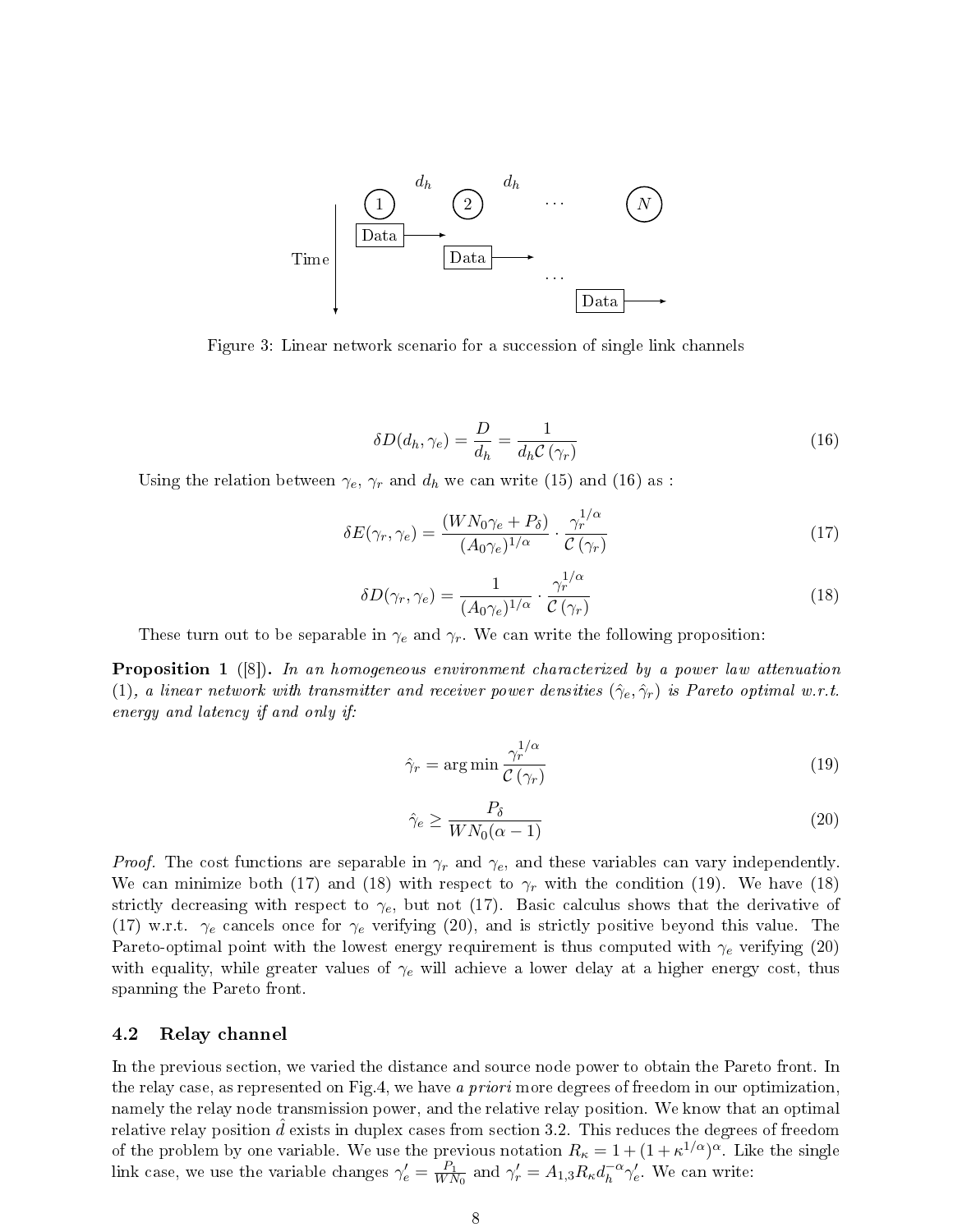

Figure 3: Linear network scenario for a succession of single link channels

$$
\delta D(d_h, \gamma_e) = \frac{D}{d_h} = \frac{1}{d_h C(\gamma_r)}\tag{16}
$$

Using the relation between  $\gamma_e$ ,  $\gamma_r$  and  $d_h$  we can write (15) and (16) as :

$$
\delta E(\gamma_r, \gamma_e) = \frac{(WN_0 \gamma_e + P_\delta)}{(A_0 \gamma_e)^{1/\alpha}} \cdot \frac{\gamma_r^{1/\alpha}}{\mathcal{C}(\gamma_r)}\tag{17}
$$

$$
\delta D(\gamma_r, \gamma_e) = \frac{1}{(A_0 \gamma_e)^{1/\alpha}} \cdot \frac{\gamma_r^{1/\alpha}}{\mathcal{C}(\gamma_r)}
$$
(18)

These turn out to be separable in  $\gamma_e$  and  $\gamma_r$ . We can write the following proposition:

**Proposition 1** ([8]). In an homogeneous environment characterized by a power law attenuation (1), a linear network with transmitter and receiver power densities  $(\hat{\gamma}_e, \hat{\gamma}_r)$  is Pareto optimal w.r.t. energy and latency if and only if:

$$
\hat{\gamma}_r = \arg\min \frac{\gamma_r^{1/\alpha}}{\mathcal{C}(\gamma_r)}\tag{19}
$$

$$
\hat{\gamma}_e \ge \frac{P_\delta}{W N_0 (\alpha - 1)}\tag{20}
$$

*Proof.* The cost functions are separable in  $\gamma_r$  and  $\gamma_e$ , and these variables can vary independently. We can minimize both (17) and (18) with respect to  $\gamma_r$  with the condition (19). We have (18) strictly decreasing with respect to  $\gamma_e$ , but not (17). Basic calculus shows that the derivative of (17) w.r.t.  $\gamma_e$  cancels once for  $\gamma_e$  verifying (20), and is strictly positive beyond this value. The Pareto-optimal point with the lowest energy requirement is thus computed with  $\gamma_e$  verifying (20) with equality, while greater values of  $\gamma_e$  will achieve a lower delay at a higher energy cost, thus spanning the Pareto front.

#### 4.2 Relay channel

In the previous section, we varied the distance and source node power to obtain the Pareto front. In the relay case, as represented on Fig.4, we have a priori more degrees of freedom in our optimization, namely the relay node transmission power, and the relative relay position. We know that an optimal relative relay position  $d$  exists in duplex cases from section 3.2. This reduces the degrees of freedom of the problem by one variable. We use the previous notation  $R_{\kappa} = 1 + (1 + \kappa^{1/\alpha})^{\alpha}$ . Like the single link case, we use the variable changes  $\gamma'_e = \frac{P_1}{W\Lambda}$  $\frac{P_1}{WN_0}$  and  $\gamma'_r = A_{1,3}R_{\kappa}d_h^{-\alpha}$  $h^{-\alpha}\gamma'_e$ . We can write: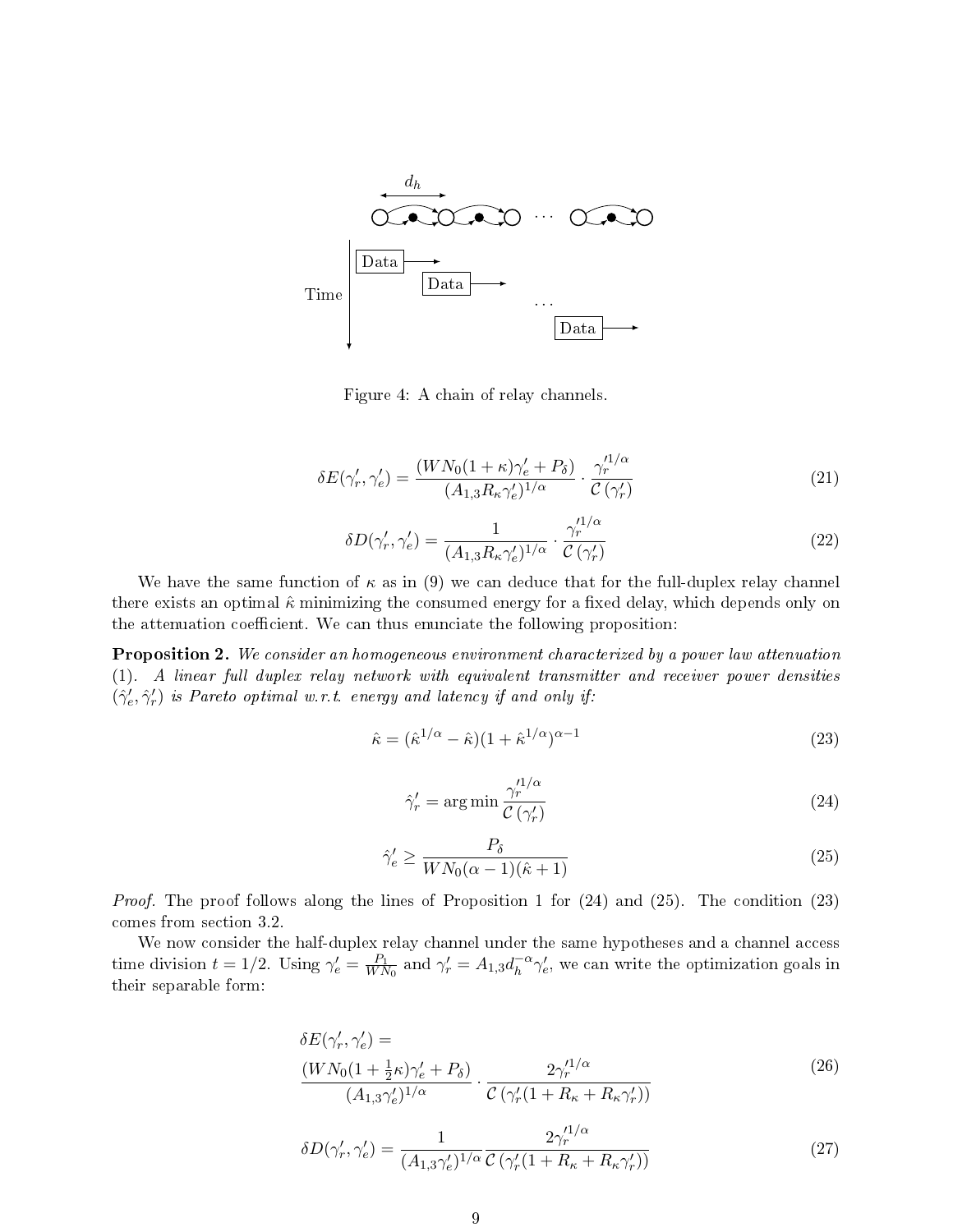

Figure 4: A chain of relay channels.

$$
\delta E(\gamma'_r, \gamma'_e) = \frac{(WN_0(1+\kappa)\gamma'_e + P_\delta)}{(A_{1,3}R_\kappa\gamma'_e)^{1/\alpha}} \cdot \frac{\gamma_r'^{1/\alpha}}{\mathcal{C}(\gamma'_r)}
$$
(21)

$$
\delta D(\gamma'_r, \gamma'_e) = \frac{1}{(A_{1,3}R_\kappa \gamma'_e)^{1/\alpha}} \cdot \frac{\gamma_r'^{1/\alpha}}{\mathcal{C}(\gamma'_r)}
$$
(22)

We have the same function of  $\kappa$  as in (9) we can deduce that for the full-duplex relay channel there exists an optimal  $\hat{\kappa}$  minimizing the consumed energy for a fixed delay, which depends only on the attenuation coefficient. We can thus enunciate the following proposition:

Proposition 2. We consider an homogeneous environment characterized by a power law attenuation (1). A linear full duplex relay network with equivalent transmitter and receiver power densities  $(\hat{\gamma}'_e, \hat{\gamma}'_r)$  is Pareto optimal w.r.t. energy and latency if and only if:

$$
\hat{\kappa} = (\hat{\kappa}^{1/\alpha} - \hat{\kappa})(1 + \hat{\kappa}^{1/\alpha})^{\alpha - 1} \tag{23}
$$

$$
\hat{\gamma}_r' = \arg\min \frac{\gamma_r'^{1/\alpha}}{C\left(\gamma_r'\right)}\tag{24}
$$

$$
\hat{\gamma}_e' \ge \frac{P_\delta}{W N_0 (\alpha - 1)(\hat{\kappa} + 1)}\tag{25}
$$

Proof. The proof follows along the lines of Proposition 1 for  $(24)$  and  $(25)$ . The condition  $(23)$ comes from section 3.2.

We now consider the half-duplex relay channel under the same hypotheses and a channel access time division  $t = 1/2$ . Using  $\gamma'_e = \frac{P_1}{W\Lambda}$  $\frac{P_1}{WN_0}$  and  $\gamma'_r = A_{1,3} d_h^{-\alpha}$  $h^{-\alpha}\gamma'_e$ , we can write the optimization goals in their separable form:

$$
\delta E(\gamma'_r, \gamma'_e) =
$$
\n
$$
\frac{(WN_0(1 + \frac{1}{2}\kappa)\gamma'_e + P_\delta)}{(A_{1,3}\gamma'_e)^{1/\alpha}} \cdot \frac{2\gamma'_r^{1/\alpha}}{C(\gamma'_r(1 + R_\kappa + R_\kappa\gamma'_r))}
$$
\n(26)

$$
\delta D(\gamma'_r, \gamma'_e) = \frac{1}{(A_{1,3}\gamma'_e)^{1/\alpha}} \frac{2\gamma_r'^{1/\alpha}}{\mathcal{C}\left(\gamma'_r(1 + R_\kappa + R_\kappa \gamma'_r)\right)}
$$
(27)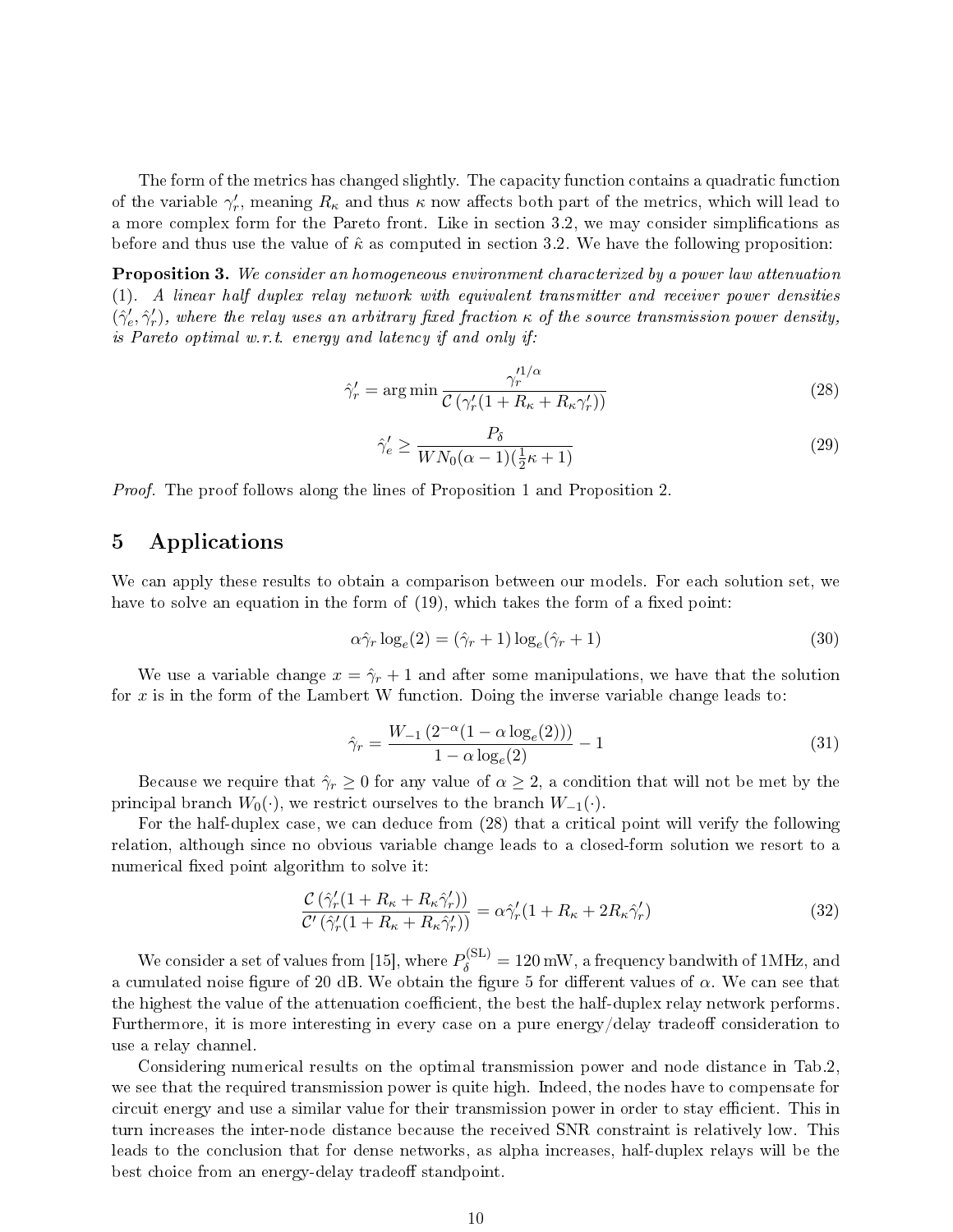The form of the metrics has changed slightly. The capacity function contains a quadratic function of the variable  $\gamma'_r$ , meaning  $R_\kappa$  and thus  $\kappa$  now affects both part of the metrics, which will lead to a more complex form for the Pareto front. Like in section 3.2, we may consider simplications as before and thus use the value of  $\hat{\kappa}$  as computed in section 3.2. We have the following proposition:

Proposition 3. We consider an homogeneous environment characterized by a power law attenuation (1). A linear half duplex relay network with equivalent transmitter and receiver power densities  $(\hat{\gamma}'_e, \hat{\gamma}'_r)$ , where the relay uses an arbitrary fixed fraction  $\kappa$  of the source transmission power density, is Pareto optimal w.r.t. energy and latency if and only if:

$$
\hat{\gamma}_r' = \arg\min \frac{\gamma_r'^{1/\alpha}}{\mathcal{C}\left(\gamma_r'(1 + R_\kappa + R_\kappa \gamma_r')\right)}\tag{28}
$$

$$
\hat{\gamma}_e' \ge \frac{P_\delta}{W N_0 (\alpha - 1)(\frac{1}{2}\kappa + 1)}\tag{29}
$$

Proof. The proof follows along the lines of Proposition 1 and Proposition 2.

## 5 Applications

We can apply these results to obtain a comparison between our models. For each solution set, we have to solve an equation in the form of  $(19)$ , which takes the form of a fixed point:

$$
\alpha \hat{\gamma}_r \log_e(2) = (\hat{\gamma}_r + 1) \log_e(\hat{\gamma}_r + 1)
$$
\n(30)

We use a variable change  $x = \hat{\gamma}_r + 1$  and after some manipulations, we have that the solution for x is in the form of the Lambert W function. Doing the inverse variable change leads to:

$$
\hat{\gamma}_r = \frac{W_{-1} \left( 2^{-\alpha} (1 - \alpha \log_e(2)) \right)}{1 - \alpha \log_e(2)} - 1 \tag{31}
$$

Because we require that  $\hat{\gamma}_r \geq 0$  for any value of  $\alpha \geq 2$ , a condition that will not be met by the principal branch  $W_0(\cdot)$ , we restrict ourselves to the branch  $W_{-1}(\cdot)$ .

For the half-duplex case, we can deduce from (28) that a critical point will verify the following relation, although since no obvious variable change leads to a closed-form solution we resort to a numerical fixed point algorithm to solve it:

$$
\frac{\mathcal{C}\left(\hat{\gamma}'_{r}(1+R_{\kappa}+R_{\kappa}\hat{\gamma}'_{r})\right)}{\mathcal{C}'\left(\hat{\gamma}'_{r}(1+R_{\kappa}+R_{\kappa}\hat{\gamma}'_{r})\right)} = \alpha \hat{\gamma}'_{r}(1+R_{\kappa}+2R_{\kappa}\hat{\gamma}'_{r})
$$
\n(32)

We consider a set of values from [15], where  $P_{\delta}^{\rm (SL)}=120$  mW, a frequency bandwith of 1MHz, and a cumulated noise figure of 20 dB. We obtain the figure 5 for different values of  $\alpha$ . We can see that the highest the value of the attenuation coefficient, the best the half-duplex relay network performs. Furthermore, it is more interesting in every case on a pure energy/delay tradeoff consideration to use a relay channel.

Considering numerical results on the optimal transmission power and node distance in Tab.2, we see that the required transmission power is quite high. Indeed, the nodes have to compensate for circuit energy and use a similar value for their transmission power in order to stay efficient. This in turn increases the inter-node distance because the received SNR constraint is relatively low. This leads to the conclusion that for dense networks, as alpha increases, half-duplex relays will be the best choice from an energy-delay tradeoff standpoint.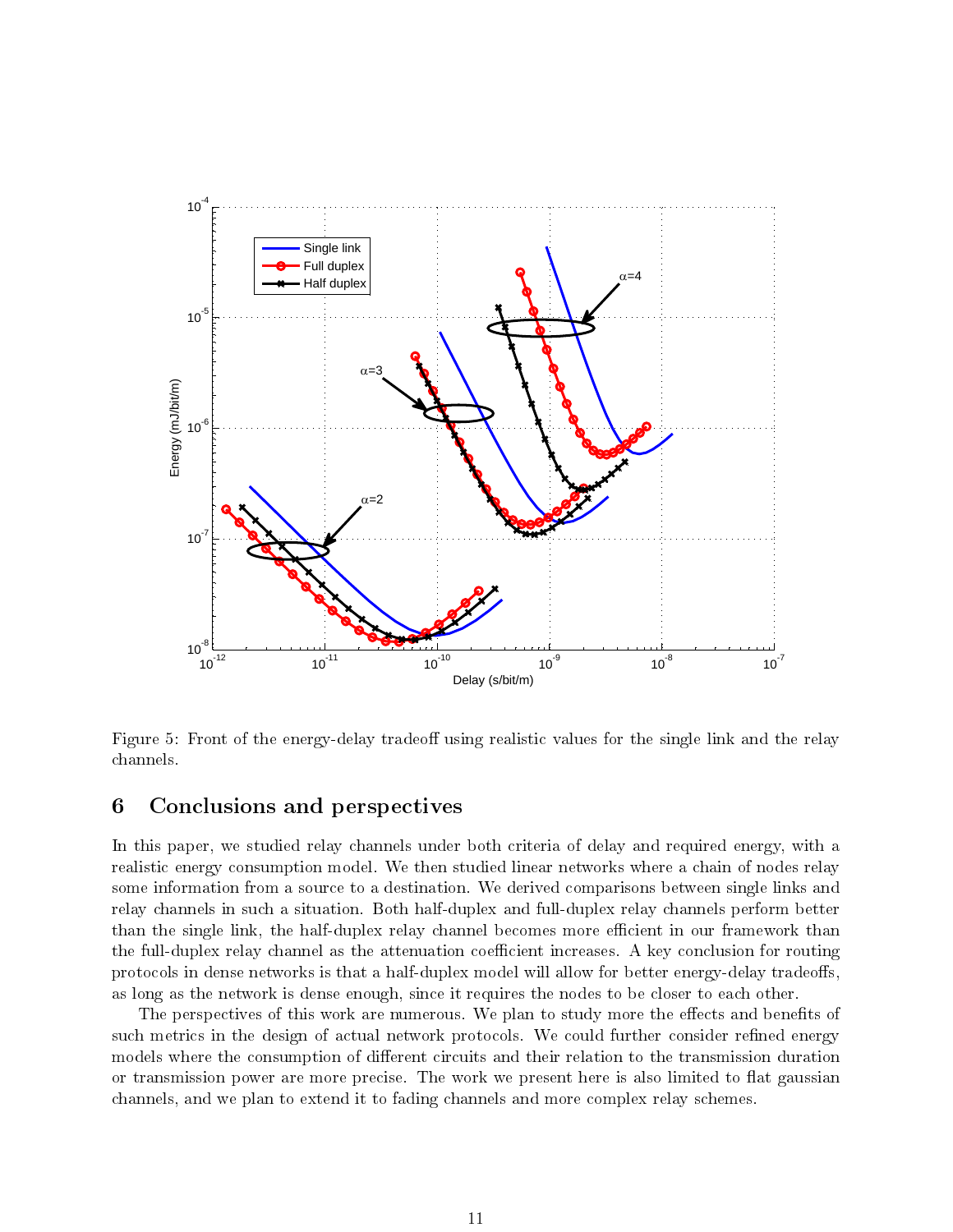

Figure 5: Front of the energy-delay tradeoff using realistic values for the single link and the relay channels.

## 6 Conclusions and perspectives

In this paper, we studied relay channels under both criteria of delay and required energy, with a realistic energy consumption model. We then studied linear networks where a chain of nodes relay some information from a source to a destination. We derived comparisons between single links and relay channels in such a situation. Both half-duplex and full-duplex relay channels perform better than the single link, the half-duplex relay channel becomes more efficient in our framework than the full-duplex relay channel as the attenuation coefficient increases. A key conclusion for routing protocols in dense networks is that a half-duplex model will allow for better energy-delay tradeoffs. as long as the network is dense enough, since it requires the nodes to be closer to each other.

The perspectives of this work are numerous. We plan to study more the effects and benefits of such metrics in the design of actual network protocols. We could further consider refined energy models where the consumption of different circuits and their relation to the transmission duration or transmission power are more precise. The work we present here is also limited to flat gaussian channels, and we plan to extend it to fading channels and more complex relay schemes.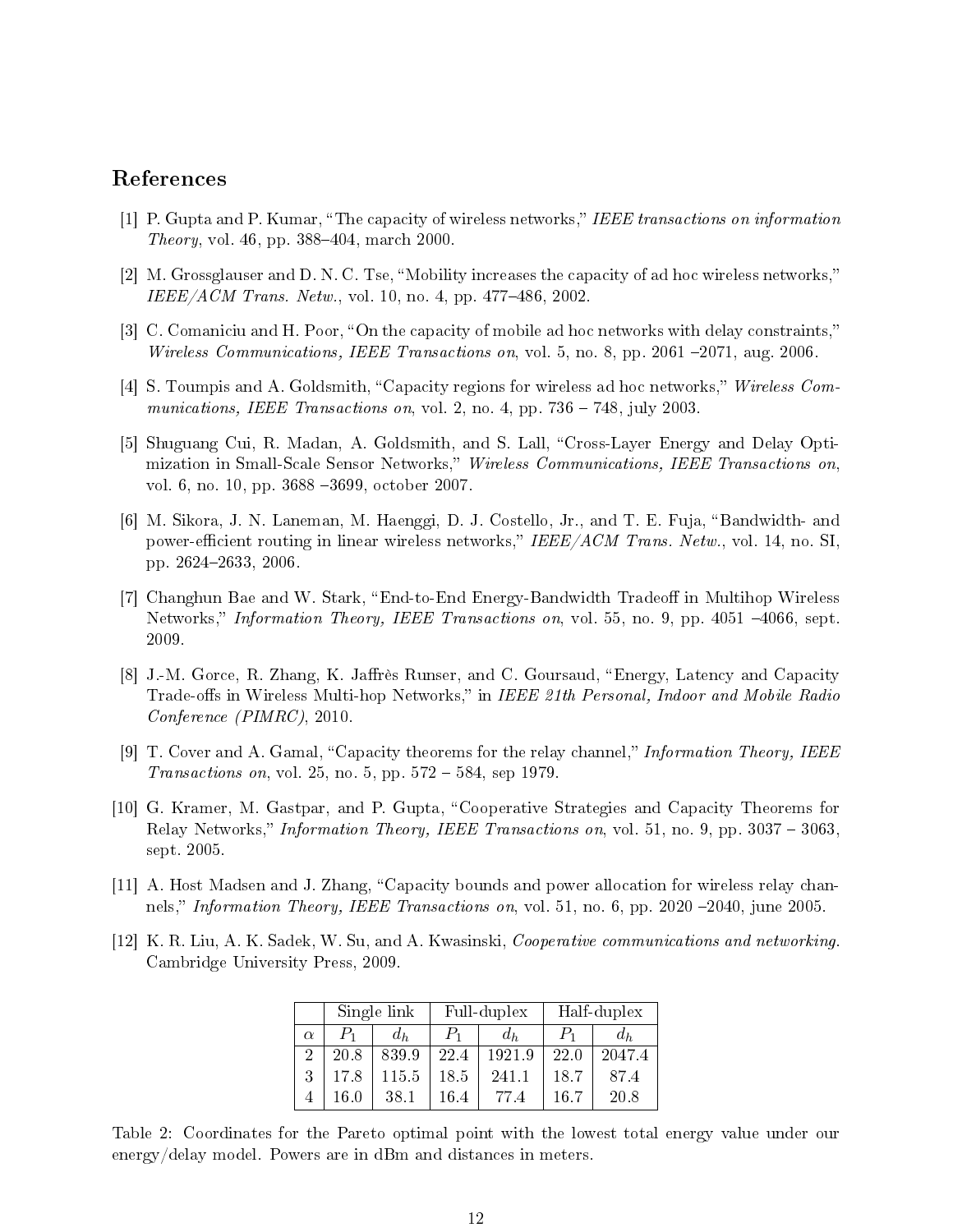## References

- [1] P. Gupta and P. Kumar, "The capacity of wireless networks," IEEE transactions on information *Theory*, vol. 46, pp.  $388-404$ , march 2000.
- [2] M. Grossglauser and D. N. C. Tse, "Mobility increases the capacity of ad hoc wireless networks,"  $IEEE/ACM$  Trans. Netw., vol. 10, no. 4, pp. 477–486, 2002.
- [3] C. Comaniciu and H. Poor, "On the capacity of mobile ad hoc networks with delay constraints," Wireless Communications, IEEE Transactions on, vol. 5, no. 8, pp. 2061  $-2071$ , aug. 2006.
- [4] S. Toumpis and A. Goldsmith, "Capacity regions for wireless ad hoc networks," Wireless Communications, IEEE Transactions on, vol. 2, no. 4, pp.  $736 - 748$ , july 2003.
- [5] Shuguang Cui, R. Madan, A. Goldsmith, and S. Lall, "Cross-Layer Energy and Delay Optimization in Small-Scale Sensor Networks," Wireless Communications, IEEE Transactions on. vol. 6, no. 10, pp. 3688 -3699, october 2007.
- [6] M. Sikora, J. N. Laneman, M. Haenggi, D. J. Costello, Jr., and T. E. Fuja, "Bandwidth- and power-efficient routing in linear wireless networks," IEEE/ACM Trans. Netw., vol. 14, no. SI. pp. 26242633, 2006.
- [7] Changhun Bae and W. Stark, "End-to-End Energy-Bandwidth Tradeoff in Multihop Wireless Networks," *Information Theory, IEEE Transactions on*, vol. 55, no. 9, pp. 4051 -4066, sept. 2009.
- [8] J.-M. Gorce, R. Zhang, K. Jaffrès Runser, and C. Goursaud, "Energy, Latency and Capacity Trade-offs in Wireless Multi-hop Networks," in IEEE 21th Personal, Indoor and Mobile Radio Conference (PIMRC), 2010.
- [9] T. Cover and A. Gamal, "Capacity theorems for the relay channel," Information Theory, IEEE Transactions on, vol. 25, no. 5, pp.  $572 - 584$ , sep 1979.
- [10] G. Kramer, M. Gastpar, and P. Gupta, "Cooperative Strategies and Capacity Theorems for Relay Networks," Information Theory, IEEE Transactions on, vol. 51, no. 9, pp.  $3037 - 3063$ . sept. 2005.
- [11] A. Host Madsen and J. Zhang, "Capacity bounds and power allocation for wireless relay channels," Information Theory, IEEE Transactions on, vol. 51, no. 6, pp. 2020 -2040, june 2005.
- [12] K. R. Liu, A. K. Sadek, W. Su, and A. Kwasinski, Cooperative communications and networking. Cambridge University Press, 2009.

|                | Single link |       | Full-duplex |        | Half-duplex |        |
|----------------|-------------|-------|-------------|--------|-------------|--------|
| $\alpha$       | $P_{1}$     | $d_h$ | $P_{1}$     | $d_h$  | $P_{1}$     | $d_h$  |
| $\overline{2}$ | 20.8        | 839.9 | 22.4        | 1921.9 | 22.0        | 2047.4 |
| 3              | 17.8        | 115.5 | 18.5        | 241.1  | 18.7        | 87.4   |
|                | 16.0        | 38.1  | 16.4        | 77.4   | 16.7        | 20.8   |

Table 2: Coordinates for the Pareto optimal point with the lowest total energy value under our energy/delay model. Powers are in dBm and distances in meters.